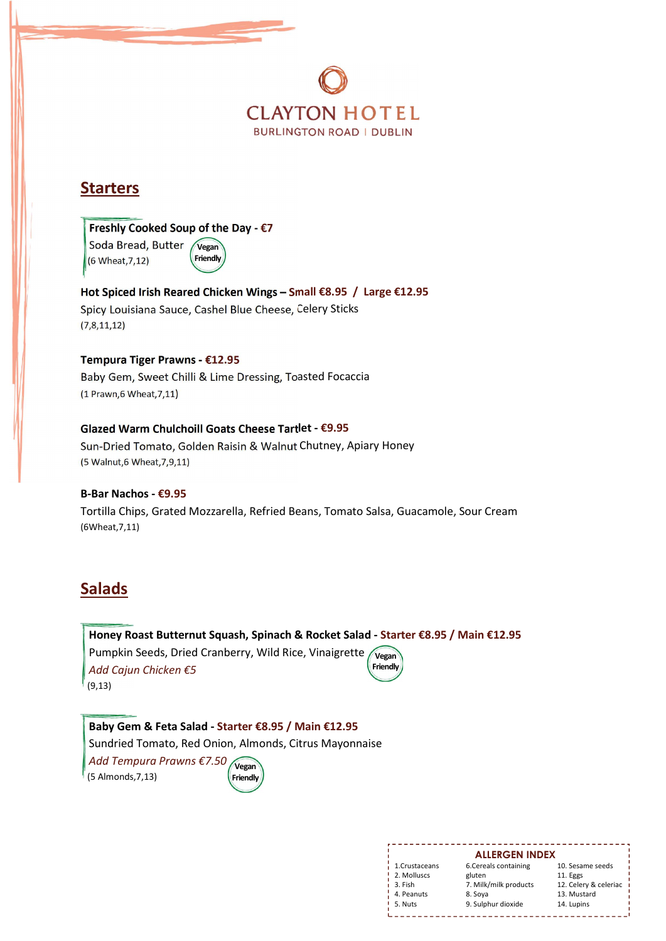

# Starters

Freshly Cooked Soup of the Day - €7

 Soda Bread, Butter (6 Wheat,7,12)

Vegan Friendly

Hot Spiced Irish Reared Chicken Wings – Small €8.95 / Large €12.95 Spicy Louisiana Sauce, Cashel Blue Cheese, Celery Sticks (7,8,11,12)

#### Tempura Tiger Prawns - €12.95

Baby Gem, Sweet Chilli & Lime Dressing, Toasted Focaccia (1 Prawn,6 Wheat,7,11)

#### Glazed Warm Chulchoill Goats Cheese Tartlet - €9.95

Sun-Dried Tomato, Golden Raisin & Walnut Chutney, Apiary Honey (5 Walnut,6 Wheat,7,9,11)

#### B-Bar Nachos - €9.95

Tortilla Chips, Grated Mozzarella, Refried Beans, Tomato Salsa, Guacamole, Sour Cream (6Wheat,7,11)

# Salads

### Honey Roast Butternut Squash, Spinach & Rocket Salad - Starter €8.95 / Main €12.95

Pumpkin Seeds, Dried Cranberry, Wild Rice, Vinaigrette *Vegan*  Add Cajun Chicken €5 (9,13)



Baby Gem & Feta Salad - Starter €8.95 / Main €12.95

Sundried Tomato, Red Onion, Almonds, Citrus Mayonnaise

Add Tempura Prawns  $\epsilon$ 7.50 **Vegan** (5 Almonds,7,13)

Friendly

|               |                       | <b>ALLERGEN INDEX</b> |  |
|---------------|-----------------------|-----------------------|--|
| 1.Crustaceans | 6. Cereals containing | 10. Sesame seeds      |  |
| 2. Molluscs   | gluten                | 11. Eggs              |  |
| 3. Fish       | 7. Milk/milk products | 12. Celery & celeriac |  |
| 4. Peanuts    | 8. Soya               | 13. Mustard           |  |
| 5. Nuts       | 9. Sulphur dioxide    | 14. Lupins            |  |